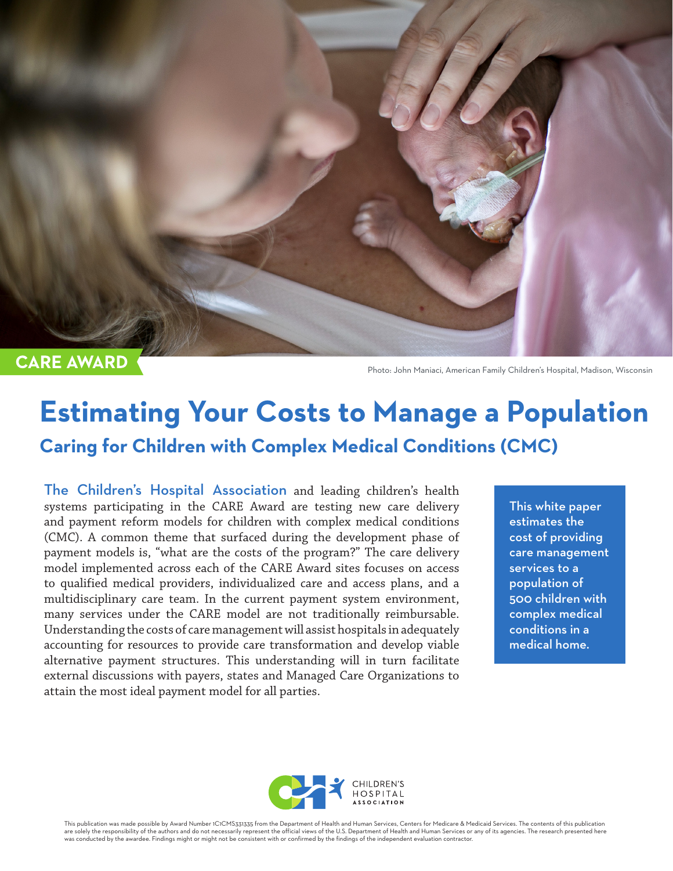

**CARE AWARD** 

Photo: John Maniaci, American Family Children's Hospital, Madison, Wisconsin

# **Estimating Your Costs to Manage a Population Caring for Children with Complex Medical Conditions (CMC)**

The Children's Hospital Association and leading children's health systems participating in the CARE Award are testing new care delivery and payment reform models for children with complex medical conditions (CMC). A common theme that surfaced during the development phase of payment models is, "what are the costs of the program?" The care delivery model implemented across each of the CARE Award sites focuses on access to qualified medical providers, individualized care and access plans, and a multidisciplinary care team. In the current payment system environment, many services under the CARE model are not traditionally reimbursable. Understanding the costs of care management will assist hospitals in adequately accounting for resources to provide care transformation and develop viable alternative payment structures. This understanding will in turn facilitate external discussions with payers, states and Managed Care Organizations to attain the most ideal payment model for all parties.

This white paper estimates the cost of providing care management services to a population of 500 children with complex medical conditions in a medical home.



This publication was made possible by Award Number 1C1CMS331335 from the Department of Health and Human Services, Centers for Medicare & Medicaid Services. The contents of this publication are solely the responsibility of the authors and do not necessarily represent the official views of the U.S. Department of Health and Human Services or any of its agencies. The research presented here<br>was conducted by the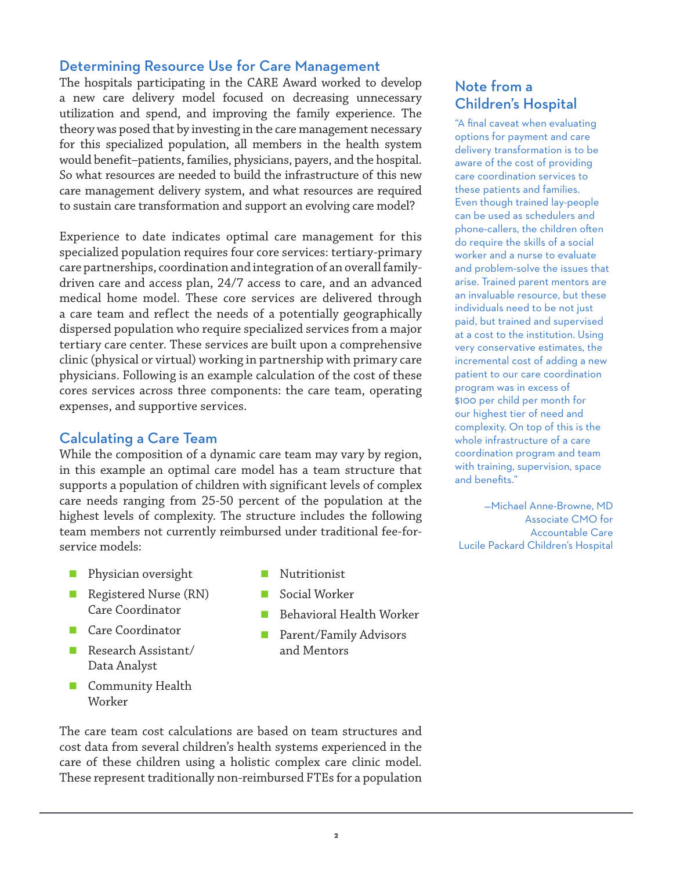#### Determining Resource Use for Care Management

The hospitals participating in the CARE Award worked to develop a new care delivery model focused on decreasing unnecessary utilization and spend, and improving the family experience. The theory was posed that by investing in the care management necessary for this specialized population, all members in the health system would benefit–patients, families, physicians, payers, and the hospital. So what resources are needed to build the infrastructure of this new care management delivery system, and what resources are required to sustain care transformation and support an evolving care model?

Experience to date indicates optimal care management for this specialized population requires four core services: tertiary-primary care partnerships, coordination and integration of an overall familydriven care and access plan, 24/7 access to care, and an advanced medical home model. These core services are delivered through a care team and reflect the needs of a potentially geographically dispersed population who require specialized services from a major tertiary care center. These services are built upon a comprehensive clinic (physical or virtual) working in partnership with primary care physicians. Following is an example calculation of the cost of these cores services across three components: the care team, operating expenses, and supportive services.

#### Calculating a Care Team

While the composition of a dynamic care team may vary by region, in this example an optimal care model has a team structure that supports a population of children with significant levels of complex care needs ranging from 25-50 percent of the population at the highest levels of complexity. The structure includes the following team members not currently reimbursed under traditional fee-forservice models:

- Physician oversight
- Registered Nurse (RN) Care Coordinator
- Care Coordinator
- Research Assistant/ Data Analyst
- **Community Health** Worker
- **Nutritionist**
- Social Worker
- Behavioral Health Worker
- **Parent/Family Advisors** and Mentors

#### Note from a Children's Hospital

"A final caveat when evaluating options for payment and care delivery transformation is to be aware of the cost of providing care coordination services to these patients and families. Even though trained lay-people can be used as schedulers and phone-callers, the children often do require the skills of a social worker and a nurse to evaluate and problem-solve the issues that arise. Trained parent mentors are an invaluable resource, but these individuals need to be not just paid, but trained and supervised at a cost to the institution. Using very conservative estimates, the incremental cost of adding a new patient to our care coordination program was in excess of \$100 per child per month for our highest tier of need and complexity. On top of this is the whole infrastructure of a care coordination program and team with training, supervision, space and benefits."

—Michael Anne-Browne, MD Associate CMO for Accountable Care Lucile Packard Children's Hospital

The care team cost calculations are based on team structures and cost data from several children's health systems experienced in the care of these children using a holistic complex care clinic model. These represent traditionally non-reimbursed FTEs for a population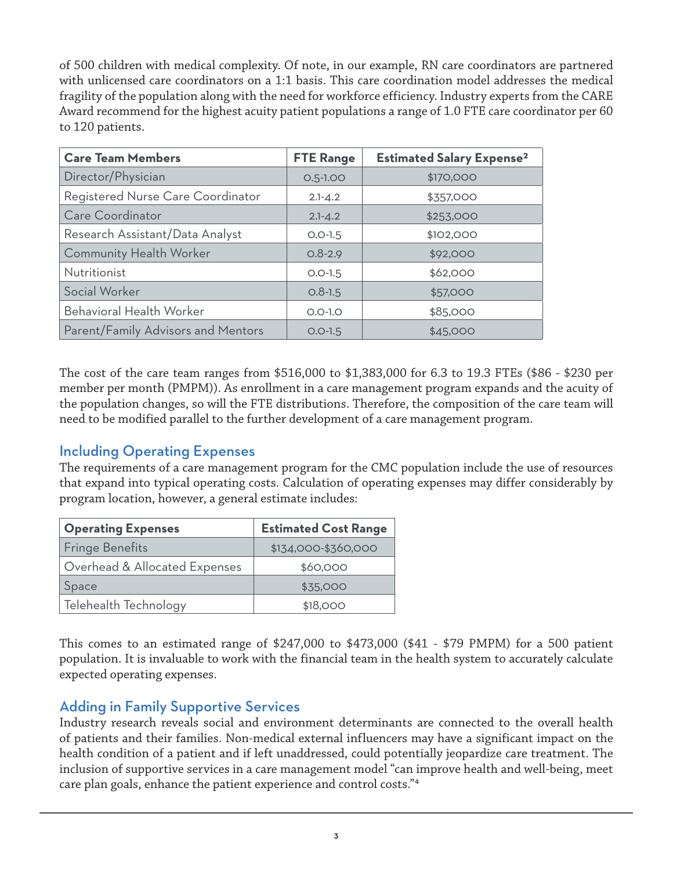of 500 children with medical complexity. Of note, in our example, RN care coordinators are partnered with unlicensed care coordinators on a 1:1 basis. This care coordination model addresses the medical fragility of the population along with the need for workforce efficiency. Industry experts from the CARE Award recommend for the highest acuity patient populations a range of 1.0 FTE care coordinator per 60 to 120 patients.

| <b>Care Team Members</b>           | <b>FTE Range</b> | <b>Estimated Salary Expense<sup>2</sup></b> |
|------------------------------------|------------------|---------------------------------------------|
| Director/Physician                 | $O.5 - 1.00$     | \$170,000                                   |
| Registered Nurse Care Coordinator  | $2.1 - 4.2$      | \$357,000                                   |
| Care Coordinator                   | $2.1 - 4.2$      | \$253,000                                   |
| Research Assistant/Data Analyst    | $O.O-1.5$        | \$102,000                                   |
| <b>Community Health Worker</b>     | $0.8 - 2.9$      | \$92,000                                    |
| Nutritionist                       | $O.O-1.5$        | \$62,000                                    |
| Social Worker                      | $0.8 - 1.5$      | \$57,000                                    |
| Behavioral Health Worker           | $O.O-I.O$        | \$85,000                                    |
| Parent/Family Advisors and Mentors | $O.O-1.5$        | \$45,000                                    |

The cost of the care team ranges from \$516,000 to \$1,383,000 for 6.3 to 19.3 FTEs (\$86 - \$230 per member per month (PMPM)). As enrollment in a care management program expands and the acuity of the population changes, so will the FTE distributions. Therefore, the composition of the care team will need to be modified parallel to the further development of a care management program.

### Including Operating Expenses

The requirements of a care management program for the CMC population include the use of resources that expand into typical operating costs. Calculation of operating expenses may differ considerably by program location, however, a general estimate includes:

| <b>Operating Expenses</b>     | <b>Estimated Cost Range</b> |
|-------------------------------|-----------------------------|
| <b>Fringe Benefits</b>        | \$134,000-\$360,000         |
| Overhead & Allocated Expenses | \$60,000                    |
| Space                         | \$35,000                    |
| Telehealth Technology         | \$18,000                    |

This comes to an estimated range of \$247,000 to \$473,000 (\$41 - \$79 PMPM) for a 500 patient population. It is invaluable to work with the financial team in the health system to accurately calculate expected operating expenses.

### Adding in Family Supportive Services

Industry research reveals social and environment determinants are connected to the overall health of patients and their families. Non-medical external influencers may have a significant impact on the health condition of a patient and if left unaddressed, could potentially jeopardize care treatment. The inclusion of supportive services in a care management model "can improve health and well-being, meet care plan goals, enhance the patient experience and control costs."4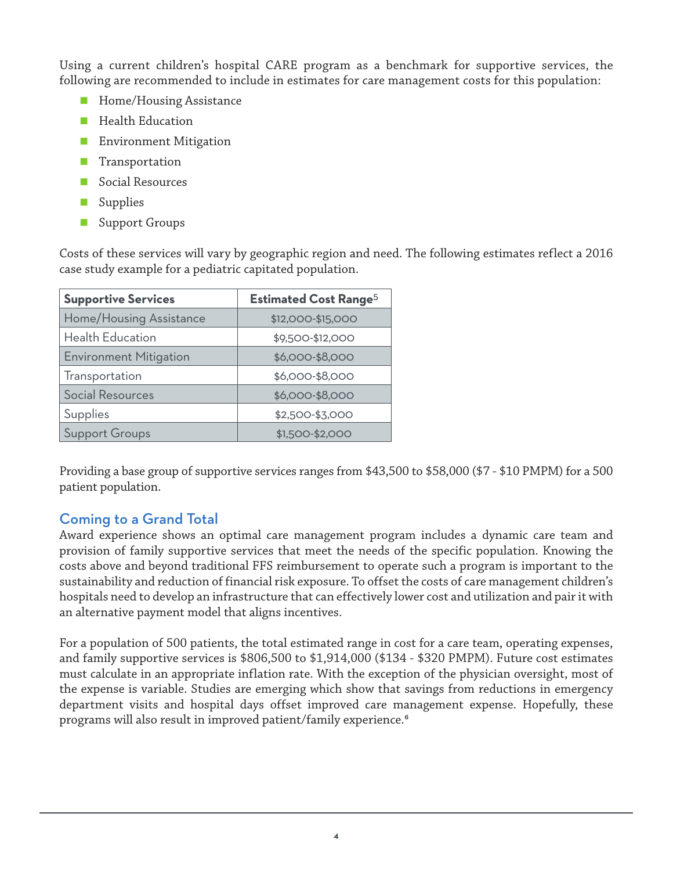Using a current children's hospital CARE program as a benchmark for supportive services, the following are recommended to include in estimates for care management costs for this population:

- **Home/Housing Assistance**
- **Health Education**
- **Environment Mitigation**
- **Transportation**
- Social Resources
- Supplies
- **Support Groups**

Costs of these services will vary by geographic region and need. The following estimates reflect a 2016 case study example for a pediatric capitated population.

| <b>Supportive Services</b>    | <b>Estimated Cost Range<sup>5</sup></b> |
|-------------------------------|-----------------------------------------|
| Home/Housing Assistance       | \$12,000-\$15,000                       |
| Health Education              | \$9,500-\$12,000                        |
| <b>Environment Mitigation</b> | \$6,000-\$8,000                         |
| Transportation                | \$6,000-\$8,000                         |
| Social Resources              | \$6,000-\$8,000                         |
| Supplies                      | \$2,500-\$3,000                         |
| <b>Support Groups</b>         | \$1,500-\$2,000                         |

Providing a base group of supportive services ranges from \$43,500 to \$58,000 (\$7 - \$10 PMPM) for a 500 patient population.

## Coming to a Grand Total

Award experience shows an optimal care management program includes a dynamic care team and provision of family supportive services that meet the needs of the specific population. Knowing the costs above and beyond traditional FFS reimbursement to operate such a program is important to the sustainability and reduction of financial risk exposure. To offset the costs of care management children's hospitals need to develop an infrastructure that can effectively lower cost and utilization and pair it with an alternative payment model that aligns incentives.

For a population of 500 patients, the total estimated range in cost for a care team, operating expenses, and family supportive services is \$806,500 to \$1,914,000 (\$134 - \$320 PMPM). Future cost estimates must calculate in an appropriate inflation rate. With the exception of the physician oversight, most of the expense is variable. Studies are emerging which show that savings from reductions in emergency department visits and hospital days offset improved care management expense. Hopefully, these programs will also result in improved patient/family experience.6